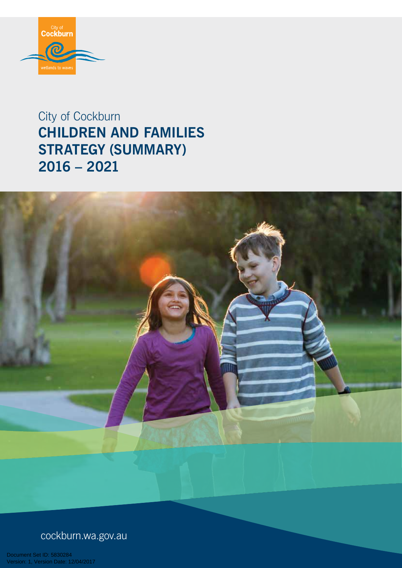

### City of Cockburn CHILDREN AND FAMILIES STRATEGY (SUMMARY) 2016 – 2021



### cockburn.wa.gov.au

Document Set ID: 5830284<br>Version: 1, Version Date: 12/04/2017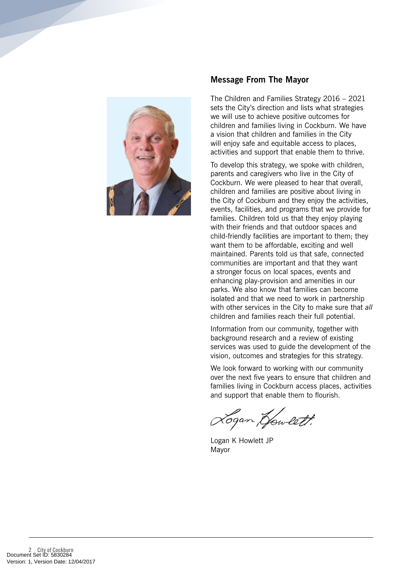

#### Message From The Mayor

The Children and Families Strategy 2016 – 2021 sets the City's direction and lists what strategies we will use to achieve positive outcomes for children and families living in Cockburn. We have a vision that children and families in the City will enjoy safe and equitable access to places, activities and support that enable them to thrive.

To develop this strategy, we spoke with children, parents and caregivers who live in the City of Cockburn. We were pleased to hear that overall, children and families are positive about living in the City of Cockburn and they enjoy the activities, events, facilities, and programs that we provide for families. Children told us that they enjoy playing with their friends and that outdoor spaces and child-friendly facilities are important to them; they want them to be affordable, exciting and well maintained. Parents told us that safe, connected communities are important and that they want a stronger focus on local spaces, events and enhancing play-provision and amenities in our parks. We also know that families can become isolated and that we need to work in partnership with other services in the City to make sure that *all*  children and families reach their full potential.

Information from our community, together with background research and a review of existing services was used to guide the development of the vision, outcomes and strategies for this strategy.

We look forward to working with our community over the next five years to ensure that children and families living in Cockburn access places, activities and support that enable them to flourish.

Logan Howlett.

Logan K Howlett JP Mayor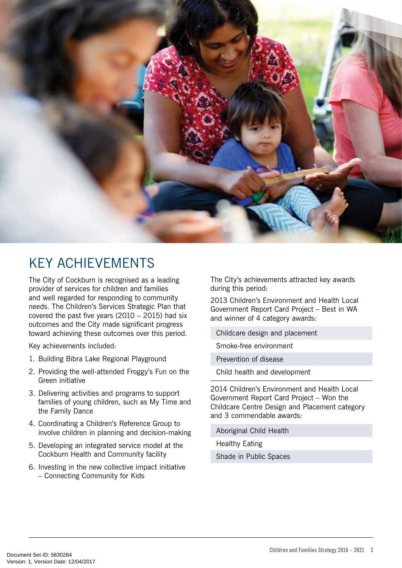

## KEY ACHIEVEMENTS

The City of Cockburn is recognised as a leading provider of services for children and families and well regarded for responding to community needs. The Children's Services Strategic Plan that covered the past five years (2010 – 2015) had six outcomes and the City made significant progress toward achieving these outcomes over this period.

Key achievements included:

- 1. Building Bibra Lake Regional Playground
- 2. Providing the well-attended Froggy's Fun on the Green initiative
- 3. Delivering activities and programs to support families of young children, such as My Time and the Family Dance
- 4. Coordinating a Children's Reference Group to involve children in planning and decision-making
- 5. Developing an integrated service model at the Cockburn Health and Community facility
- 6. Investing in the new collective impact initiative – Connecting Community for Kids

The City's achievements attracted key awards during this period:

2013 Children's Environment and Health Local Government Report Card Project – Best in WA and winner of 4 category awards:

Childcare design and placement

Smoke-free environment

Prevention of disease

Child health and development

2014 Children's Environment and Health Local Government Report Card Project – Won the Childcare Centre Design and Placement category and 3 commendable awards:

Aboriginal Child Health

Healthy Eating

Shade in Public Spaces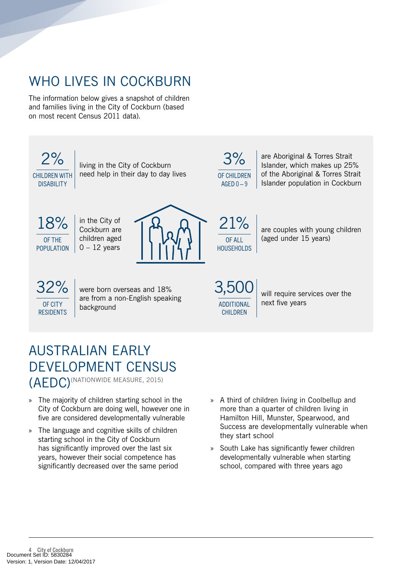# WHO LIVES IN COCKBURN

The information below gives a snapshot of children and families living in the City of Cockburn (based on most recent Census 2011 data).



### AUSTRALIAN EARLY DEVELOPMENT CENSUS (AEDC)(NATIONWIDE MEASURE, 2015)

- » The majority of children starting school in the City of Cockburn are doing well, however one in five are considered developmentally vulnerable
- » The language and cognitive skills of children starting school in the City of Cockburn has significantly improved over the last six years, however their social competence has significantly decreased over the same period
- » A third of children living in Coolbellup and more than a quarter of children living in Hamilton Hill, Munster, Spearwood, and Success are developmentally vulnerable when they start school
- » South Lake has significantly fewer children developmentally vulnerable when starting school, compared with three years ago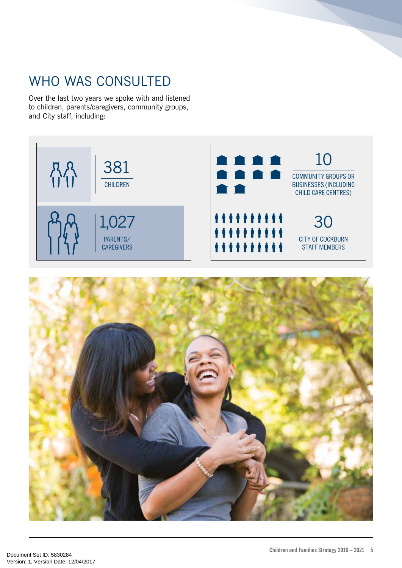## WHO WAS CONSULTED

Over the last two years we spoke with and listened to children, parents/caregivers, community groups, and City staff, including:



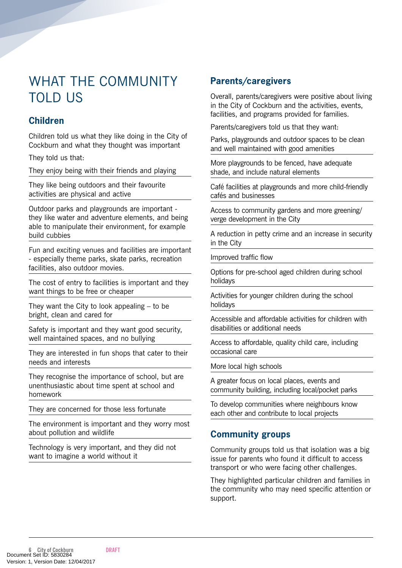## WHAT THE COMMUNITY TOLD US

### **Children**

Children told us what they like doing in the City of Cockburn and what they thought was important

They told us that:

They enjoy being with their friends and playing

They like being outdoors and their favourite activities are physical and active

Outdoor parks and playgrounds are important they like water and adventure elements, and being able to manipulate their environment, for example build cubbies

Fun and exciting venues and facilities are important - especially theme parks, skate parks, recreation facilities, also outdoor movies.

The cost of entry to facilities is important and they want things to be free or cheaper

They want the City to look appealing  $-$  to be bright, clean and cared for

Safety is important and they want good security, well maintained spaces, and no bullying

They are interested in fun shops that cater to their needs and interests

They recognise the importance of school, but are unenthusiastic about time spent at school and homework

They are concerned for those less fortunate

The environment is important and they worry most about pollution and wildlife

Technology is very important, and they did not want to imagine a world without it

### **Parents/caregivers**

Overall, parents/caregivers were positive about living in the City of Cockburn and the activities, events, facilities, and programs provided for families.

Parents/caregivers told us that they want:

Parks, playgrounds and outdoor spaces to be clean and well maintained with good amenities

More playgrounds to be fenced, have adequate shade, and include natural elements

Café facilities at playgrounds and more child-friendly cafés and businesses

Access to community gardens and more greening/ verge development in the City

A reduction in petty crime and an increase in security in the City

Improved traffic flow

Options for pre-school aged children during school holidays

Activities for younger children during the school holidays

Accessible and affordable activities for children with disabilities or additional needs

Access to affordable, quality child care, including occasional care

More local high schools

A greater focus on local places, events and community building, including local/pocket parks

To develop communities where neighbours know each other and contribute to local projects

#### **Community groups**

Community groups told us that isolation was a big issue for parents who found it difficult to access transport or who were facing other challenges.

They highlighted particular children and families in the community who may need specific attention or support.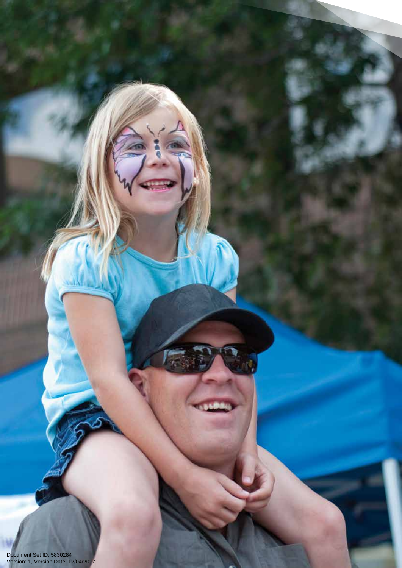Document Set ID: 5830284<br>Version: 1, Version Date: 12/04/2017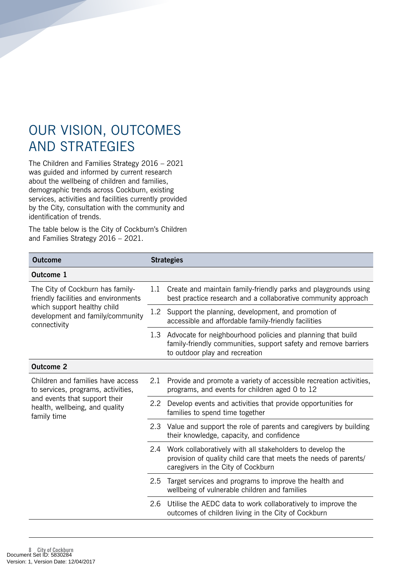### OUR VISION, OUTCOMES AND STRATEGIES

The Children and Families Strategy 2016 – 2021 was guided and informed by current research about the wellbeing of children and families, demographic trends across Cockburn, existing services, activities and facilities currently provided by the City, consultation with the community and identification of trends.

The table below is the City of Cockburn's Children and Families Strategy 2016 – 2021.

| <b>Outcome</b>                                                                                                                                              | <b>Strategies</b> |                                                                                                                                                                     |  |
|-------------------------------------------------------------------------------------------------------------------------------------------------------------|-------------------|---------------------------------------------------------------------------------------------------------------------------------------------------------------------|--|
| Outcome 1                                                                                                                                                   |                   |                                                                                                                                                                     |  |
| The City of Cockburn has family-<br>friendly facilities and environments<br>which support healthy child<br>development and family/community<br>connectivity | 1.1               | Create and maintain family-friendly parks and playgrounds using<br>best practice research and a collaborative community approach                                    |  |
|                                                                                                                                                             | 1.2 <sub>2</sub>  | Support the planning, development, and promotion of<br>accessible and affordable family-friendly facilities                                                         |  |
|                                                                                                                                                             | 1.3               | Advocate for neighbourhood policies and planning that build<br>family-friendly communities, support safety and remove barriers<br>to outdoor play and recreation    |  |
| <b>Outcome 2</b>                                                                                                                                            |                   |                                                                                                                                                                     |  |
| Children and families have access<br>to services, programs, activities,<br>and events that support their<br>health, wellbeing, and quality<br>family time   | 2.1               | Provide and promote a variety of accessible recreation activities,<br>programs, and events for children aged 0 to 12                                                |  |
|                                                                                                                                                             | 2.2               | Develop events and activities that provide opportunities for<br>families to spend time together                                                                     |  |
|                                                                                                                                                             |                   | 2.3 Value and support the role of parents and caregivers by building<br>their knowledge, capacity, and confidence                                                   |  |
|                                                                                                                                                             | $2.4^{\circ}$     | Work collaboratively with all stakeholders to develop the<br>provision of quality child care that meets the needs of parents/<br>caregivers in the City of Cockburn |  |
|                                                                                                                                                             | 2.5               | Target services and programs to improve the health and<br>wellbeing of vulnerable children and families                                                             |  |
|                                                                                                                                                             | 2.6               | Utilise the AEDC data to work collaboratively to improve the<br>outcomes of children living in the City of Cockburn                                                 |  |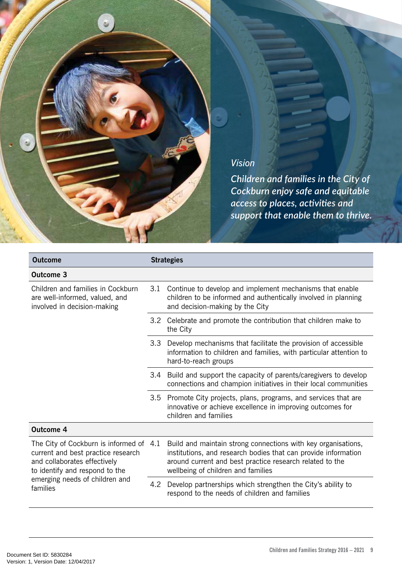

### *Vision*

*Children and families in the City of Cockburn enjoy safe and equitable access to places, activities and support that enable them to thrive.*

| <b>Outcome</b>                                                                                                                                                                                | <b>Strategies</b> |                                                                                                                                                                                                                                   |
|-----------------------------------------------------------------------------------------------------------------------------------------------------------------------------------------------|-------------------|-----------------------------------------------------------------------------------------------------------------------------------------------------------------------------------------------------------------------------------|
| <b>Outcome 3</b>                                                                                                                                                                              |                   |                                                                                                                                                                                                                                   |
| Children and families in Cockburn<br>are well-informed, valued, and<br>involved in decision-making                                                                                            | 3.1               | Continue to develop and implement mechanisms that enable<br>children to be informed and authentically involved in planning<br>and decision-making by the City                                                                     |
|                                                                                                                                                                                               |                   | 3.2 Celebrate and promote the contribution that children make to<br>the City                                                                                                                                                      |
|                                                                                                                                                                                               | 3.3               | Develop mechanisms that facilitate the provision of accessible<br>information to children and families, with particular attention to<br>hard-to-reach groups                                                                      |
|                                                                                                                                                                                               | 3.4               | Build and support the capacity of parents/caregivers to develop<br>connections and champion initiatives in their local communities                                                                                                |
|                                                                                                                                                                                               | 3.5               | Promote City projects, plans, programs, and services that are<br>innovative or achieve excellence in improving outcomes for<br>children and families                                                                              |
| <b>Outcome 4</b>                                                                                                                                                                              |                   |                                                                                                                                                                                                                                   |
| The City of Cockburn is informed of 4.1<br>current and best practice research<br>and collaborates effectively<br>to identify and respond to the<br>emerging needs of children and<br>families |                   | Build and maintain strong connections with key organisations,<br>institutions, and research bodies that can provide information<br>around current and best practice research related to the<br>wellbeing of children and families |
|                                                                                                                                                                                               | 4.2               | Develop partnerships which strengthen the City's ability to<br>respond to the needs of children and families                                                                                                                      |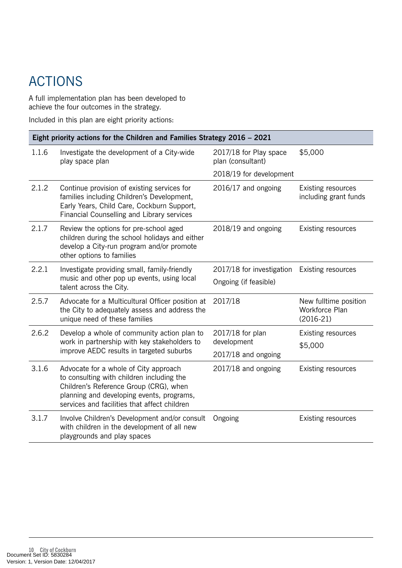# ACTIONS

A full implementation plan has been developed to achieve the four outcomes in the strategy.

Included in this plan are eight priority actions:

| Eight priority actions for the Children and Families Strategy 2016 - 2021 |                                                                                                                                                                                                                           |                                             |                                                               |  |  |  |  |
|---------------------------------------------------------------------------|---------------------------------------------------------------------------------------------------------------------------------------------------------------------------------------------------------------------------|---------------------------------------------|---------------------------------------------------------------|--|--|--|--|
| 1.1.6                                                                     | Investigate the development of a City-wide<br>play space plan                                                                                                                                                             | 2017/18 for Play space<br>plan (consultant) | \$5,000                                                       |  |  |  |  |
|                                                                           |                                                                                                                                                                                                                           | 2018/19 for development                     |                                                               |  |  |  |  |
| 2.1.2                                                                     | Continue provision of existing services for<br>families including Children's Development,<br>Early Years, Child Care, Cockburn Support,<br>Financial Counselling and Library services                                     | 2016/17 and ongoing                         | <b>Existing resources</b><br>including grant funds            |  |  |  |  |
| 2.1.7                                                                     | Review the options for pre-school aged<br>children during the school holidays and either<br>develop a City-run program and/or promote<br>other options to families                                                        | 2018/19 and ongoing                         | Existing resources                                            |  |  |  |  |
| 2.2.1                                                                     | Investigate providing small, family-friendly                                                                                                                                                                              | 2017/18 for investigation                   | <b>Existing resources</b>                                     |  |  |  |  |
|                                                                           | music and other pop up events, using local<br>talent across the City.                                                                                                                                                     | Ongoing (if feasible)                       |                                                               |  |  |  |  |
| 2.5.7                                                                     | Advocate for a Multicultural Officer position at<br>the City to adequately assess and address the<br>unique need of these families                                                                                        | 2017/18                                     | New fulltime position<br><b>Workforce Plan</b><br>$(2016-21)$ |  |  |  |  |
| 2.6.2                                                                     | Develop a whole of community action plan to                                                                                                                                                                               | 2017/18 for plan                            | <b>Existing resources</b>                                     |  |  |  |  |
|                                                                           | work in partnership with key stakeholders to<br>improve AEDC results in targeted suburbs                                                                                                                                  | development                                 | \$5,000                                                       |  |  |  |  |
|                                                                           |                                                                                                                                                                                                                           | 2017/18 and ongoing                         |                                                               |  |  |  |  |
| 3.1.6                                                                     | Advocate for a whole of City approach<br>to consulting with children including the<br>Children's Reference Group (CRG), when<br>planning and developing events, programs,<br>services and facilities that affect children | 2017/18 and ongoing                         | <b>Existing resources</b>                                     |  |  |  |  |
| 3.1.7                                                                     | Involve Children's Development and/or consult<br>with children in the development of all new<br>playgrounds and play spaces                                                                                               | Ongoing                                     | <b>Existing resources</b>                                     |  |  |  |  |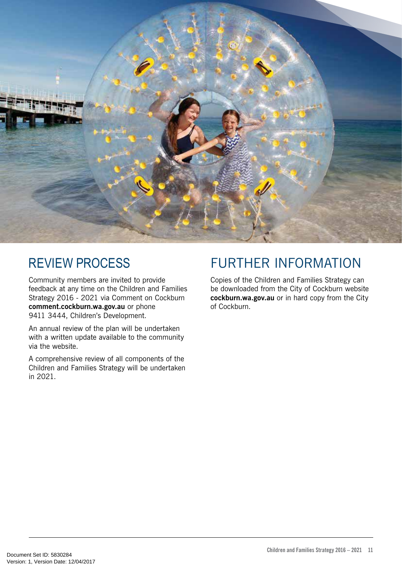

### REVIEW PROCESS

Community members are invited to provide feedback at any time on the Children and Families Strategy 2016 - 2021 via Comment on Cockburn comment.cockburn.wa.gov.au or phone 9411 3444, Children's Development.

An annual review of the plan will be undertaken with a written update available to the community via the website.

A comprehensive review of all components of the Children and Families Strategy will be undertaken in 2021.

# FURTHER INFORMATION

Copies of the Children and Families Strategy can be downloaded from the City of Cockburn website cockburn.wa.gov.au or in hard copy from the City of Cockburn.